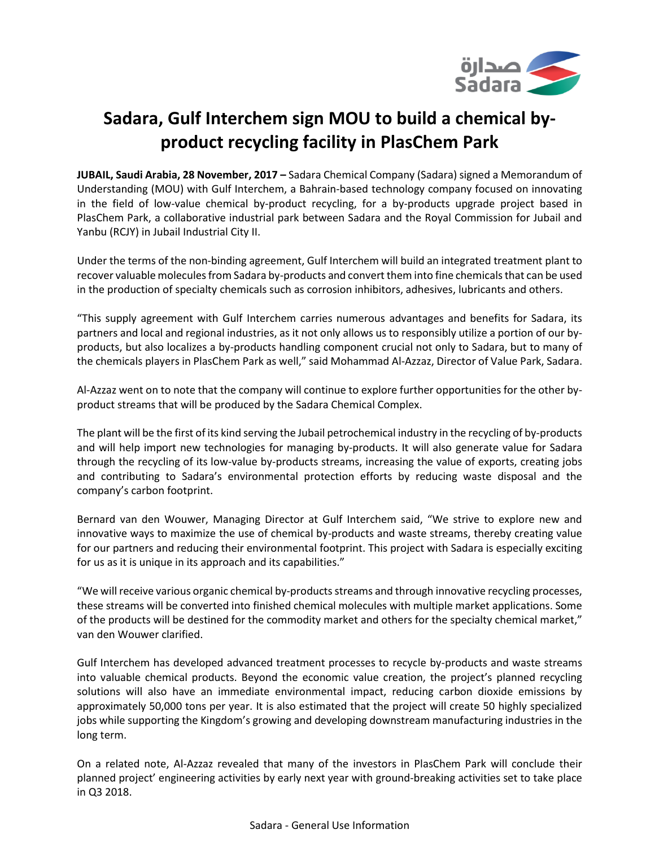

# **Sadara, Gulf Interchem sign MOU to build a chemical byproduct recycling facility in PlasChem Park**

**JUBAIL, Saudi Arabia, 28 November, 2017 –** Sadara Chemical Company (Sadara) signed a Memorandum of Understanding (MOU) with Gulf Interchem, a Bahrain-based technology company focused on innovating in the field of low-value chemical by-product recycling, for a by-products upgrade project based in PlasChem Park, a collaborative industrial park between Sadara and the Royal Commission for Jubail and Yanbu (RCJY) in Jubail Industrial City II.

Under the terms of the non-binding agreement, Gulf Interchem will build an integrated treatment plant to recover valuable molecules from Sadara by-products and convert them into fine chemicals that can be used in the production of specialty chemicals such as corrosion inhibitors, adhesives, lubricants and others.

"This supply agreement with Gulf Interchem carries numerous advantages and benefits for Sadara, its partners and local and regional industries, as it not only allows us to responsibly utilize a portion of our byproducts, but also localizes a by-products handling component crucial not only to Sadara, but to many of the chemicals players in PlasChem Park as well," said Mohammad Al-Azzaz, Director of Value Park, Sadara.

Al-Azzaz went on to note that the company will continue to explore further opportunities for the other byproduct streams that will be produced by the Sadara Chemical Complex.

The plant will be the first of its kind serving the Jubail petrochemical industry in the recycling of by-products and will help import new technologies for managing by-products. It will also generate value for Sadara through the recycling of its low-value by-products streams, increasing the value of exports, creating jobs and contributing to Sadara's environmental protection efforts by reducing waste disposal and the company's carbon footprint.

Bernard van den Wouwer, Managing Director at Gulf Interchem said, "We strive to explore new and innovative ways to maximize the use of chemical by-products and waste streams, thereby creating value for our partners and reducing their environmental footprint. This project with Sadara is especially exciting for us as it is unique in its approach and its capabilities."

"We will receive various organic chemical by-products streams and through innovative recycling processes, these streams will be converted into finished chemical molecules with multiple market applications. Some of the products will be destined for the commodity market and others for the specialty chemical market," van den Wouwer clarified.

Gulf Interchem has developed advanced treatment processes to recycle by-products and waste streams into valuable chemical products. Beyond the economic value creation, the project's planned recycling solutions will also have an immediate environmental impact, reducing carbon dioxide emissions by approximately 50,000 tons per year. It is also estimated that the project will create 50 highly specialized jobs while supporting the Kingdom's growing and developing downstream manufacturing industries in the long term.

On a related note, Al-Azzaz revealed that many of the investors in PlasChem Park will conclude their planned project' engineering activities by early next year with ground-breaking activities set to take place in Q3 2018.